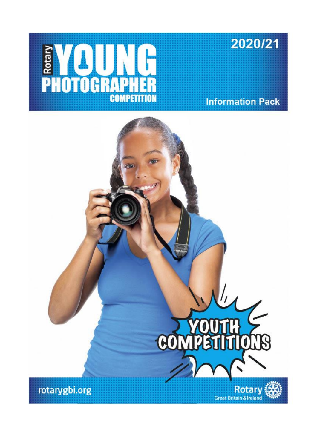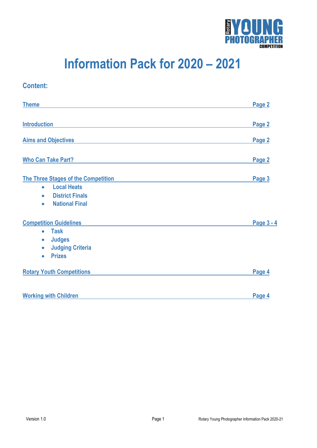

# **Information Pack for 2020 – 2021**

# **Theme Page 2 Introduction Page 2 Aims and Objectives Page 2 Page 2 Page 2 Page 2 Page 2 Page 2 Page 2 Page 2 Page 2 Page 2 The Three Stages of the Competition Page 3 Local Heats District Finals National Final Competition Guidelines Page 3 - 4 Task Judges Judging Criteria Prizes Rotary Youth Competitions Page 4 Working with Children Page 4**

**Content:**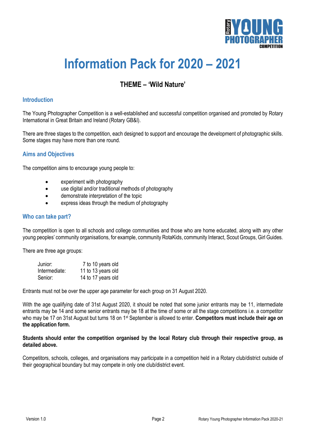

# **Information Pack for 2020 – 2021**

# **THEME – 'Wild Nature'**

# **Introduction**

The Young Photographer Competition is a well-established and successful competition organised and promoted by Rotary International in Great Britain and Ireland (Rotary GB&I).

There are three stages to the competition, each designed to support and encourage the development of photographic skills. Some stages may have more than one round.

# **Aims and Objectives**

The competition aims to encourage young people to:

- experiment with photography
- use digital and/or traditional methods of photography
- demonstrate interpretation of the topic
- express ideas through the medium of photography

# **Who can take part?**

The competition is open to all schools and college communities and those who are home educated, along with any other young peoples' community organisations, for example, community RotaKids, community Interact, Scout Groups, Girl Guides.

There are three age groups:

| Junior:       | 7 to 10 years old  |
|---------------|--------------------|
| Intermediate: | 11 to 13 years old |
| Senior:       | 14 to 17 years old |

Entrants must not be over the upper age parameter for each group on 31 August 2020.

With the age qualifying date of 31st August 2020, it should be noted that some junior entrants may be 11, intermediate entrants may be 14 and some senior entrants may be 18 at the time of some or all the stage competitions i.e. a competitor who may be 17 on 31st August but turns 18 on 1st September is allowed to enter. **Competitors must include their age on the application form.**

#### **Students should enter the competition organised by the local Rotary club through their respective group, as detailed above.**

Competitors, schools, colleges, and organisations may participate in a competition held in a Rotary club/district outside of their geographical boundary but may compete in only one club/district event.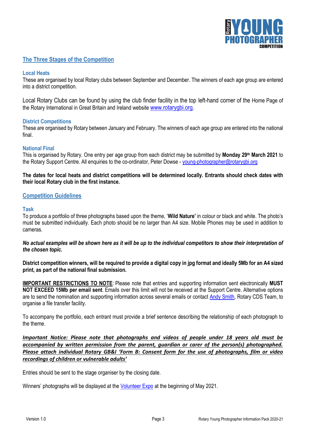

# **The Three Stages of the Competition**

#### **Local Heats**

These are organised by local Rotary clubs between September and December. The winners of each age group are entered into a district competition.

Local Rotary Clubs can be found by using the club finder facility in the top left-hand corner of the Home Page of the Rotary International in Great Britain and Ireland website [www.rotarygbi.org.](http://www.rotarygbi.org/)

#### **District Competitions**

These are organised by Rotary between January and February. The winners of each age group are entered into the national final.

#### **National Final**

This is organised by Rotary. One entry per age group from each district may be submitted by **Monday 29th March 2021** to the Rotary Support Centre. All enquiries to the co-ordinator, Peter Dowse - [young-photographer@rotarygbi.org](mailto:young-photographer@rotarygbi.org)

### **The dates for local heats and district competitions will be determined locally. Entrants should check dates with their local Rotary club in the first instance.**

# **Competition Guidelines**

#### **Task**

To produce a portfolio of three photographs based upon the theme, '**Wild Nature'** in colour or black and white. The photo's must be submitted individually. Each photo should be no larger than A4 size. Mobile Phones may be used in addition to cameras.

*No actual examples will be shown here as it will be up to the individual competitors to show their interpretation of the chosen topic.*

**District competition winners, will be required to provide a digital copy in jpg format and ideally 5Mb for an A4 sized print, as part of the national final submission.** 

**IMPORTANT RESTRICTIONS TO NOTE**: Please note that entries and supporting information sent electronically **MUST NOT EXCEED 15Mb per email sent**. Emails over this limit will not be received at the Support Centre. Alternative options are to send the nomination and supporting information across several emails or contact [Andy Smith,](mailto:mailto@andy.smith@rotarygbi.org) Rotary CDS Team, to organise a file transfer facility.

To accompany the portfolio, each entrant must provide a brief sentence describing the relationship of each photograph to the theme.

*Important Notice: Please note that photographs and videos of people under 18 years old must be accompanied by written permission from the parent, guardian or carer of the person(s) photographed. Please attach individual Rotary GB&I 'Form B: Consent form for the use of photographs, film or video recordings of children or vulnerable adults'*

Entries should be sent to the stage organiser by the closing date.

Winners' photographs will be displayed at the [Volunteer](https://www.volunteerexpo.co.uk/) Expo at the beginning of May 2021.